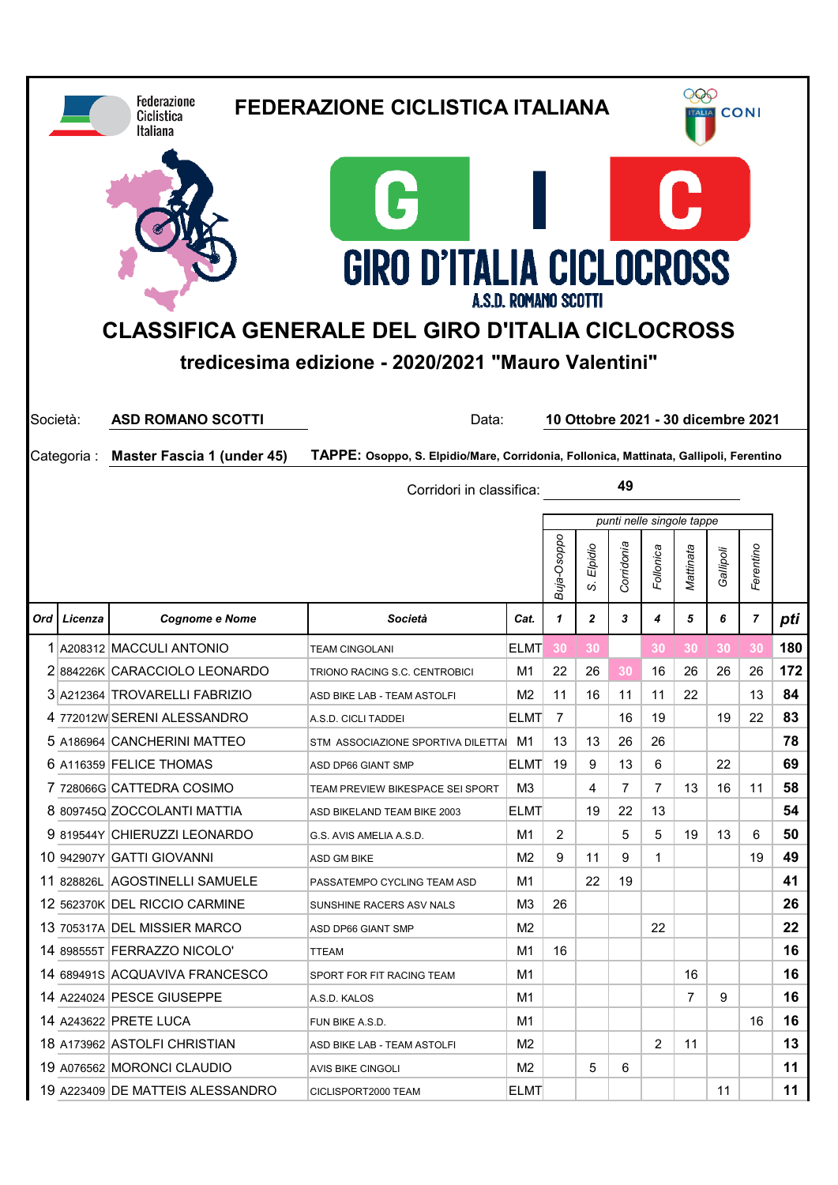|          |             | <b>Federazione</b><br>Ciclistica<br>Italiana | <b>FEDERAZIONE CICLISTICA ITALIANA</b>                                                 |                             |             |              | 999<br><b>CONI</b><br><b>ALIA</b> |                                    |           |           |                |          |  |
|----------|-------------|----------------------------------------------|----------------------------------------------------------------------------------------|-----------------------------|-------------|--------------|-----------------------------------|------------------------------------|-----------|-----------|----------------|----------|--|
|          |             |                                              | G<br><b>GIRO D'ITALIA CICLOCROSS</b>                                                   |                             |             |              |                                   |                                    |           |           |                |          |  |
|          |             |                                              | <b>CLASSIFICA GENERALE DEL GIRO D'ITALIA CICLOCROSS</b>                                | <b>A.S.D. ROMANO SCOTTI</b> |             |              |                                   |                                    |           |           |                |          |  |
|          |             |                                              | tredicesima edizione - 2020/2021 "Mauro Valentini"                                     |                             |             |              |                                   |                                    |           |           |                |          |  |
|          |             |                                              |                                                                                        |                             |             |              |                                   |                                    |           |           |                |          |  |
| Società: |             | <b>ASD ROMANO SCOTTI</b>                     | Data:                                                                                  |                             |             |              |                                   | 10 Ottobre 2021 - 30 dicembre 2021 |           |           |                |          |  |
|          | Categoria : | <b>Master Fascia 1 (under 45)</b>            | TAPPE: Osoppo, S. Elpidio/Mare, Corridonia, Follonica, Mattinata, Gallipoli, Ferentino |                             |             |              |                                   |                                    |           |           |                |          |  |
|          |             |                                              | Corridori in classifica:                                                               |                             |             |              | 49                                |                                    |           |           |                |          |  |
|          |             |                                              |                                                                                        |                             |             |              |                                   | punti nelle singole tappe          |           |           |                |          |  |
|          |             |                                              |                                                                                        |                             |             | Elpidio      | Corridonia                        | Follonica                          | Mattinata | Gallipoli | Ferentino      |          |  |
|          |             |                                              |                                                                                        |                             | Buja-Osoppo | S,           |                                   |                                    |           |           |                |          |  |
| Ord      | Licenza     | <b>Cognome e Nome</b>                        | Società                                                                                | Cat.                        | 1           | $\mathbf{2}$ | 3                                 | 4                                  | 5         | 6         | $\overline{7}$ | pti      |  |
|          |             |                                              |                                                                                        |                             |             |              |                                   |                                    |           |           |                |          |  |
|          |             | 1 A208312 MACCULI ANTONIO                    | <b>TEAM CINGOLANI</b>                                                                  | <b>ELMT</b>                 | 30          | 30           |                                   | 30                                 | 30        | 30        | 30             | 180      |  |
|          |             | 2 884226K CARACCIOLO LEONARDO                | TRIONO RACING S.C. CENTROBICI                                                          | M1                          | 22          | 26           | 30                                | 16                                 | 26        | 26        | 26             | 172      |  |
|          |             | 3 A212364 TROVARELLI FABRIZIO                | ASD BIKE LAB - TEAM ASTOLFI                                                            | M2                          | 11          | 16           | 11                                | 11                                 | 22        |           | 13             | 84       |  |
|          |             | 4 772012W SERENI ALESSANDRO                  | A.S.D. CICLI TADDEI                                                                    | <b>ELMT</b>                 | 7           |              | 16                                | 19                                 |           | 19        | 22             | 83       |  |
|          |             | 5 A186964 CANCHERINI MATTEO                  | STM ASSOCIAZIONE SPORTIVA DILETTA M1                                                   |                             | 13          | 13           | 26                                | 26                                 |           |           |                | 78       |  |
|          |             | 6 A116359 FELICE THOMAS                      | ASD DP66 GIANT SMP                                                                     | <b>ELMT</b>                 | 19          | 9            | 13                                | 6                                  |           | 22        |                | 69       |  |
|          |             | 7 728066G CATTEDRA COSIMO                    | TEAM PREVIEW BIKESPACE SEI SPORT                                                       | M3                          |             | 4            | $\overline{7}$                    | $\overline{7}$                     | 13        | 16        | 11             | 58       |  |
|          |             | 8 809745Q ZOCCOLANTI MATTIA                  | ASD BIKELAND TEAM BIKE 2003                                                            | <b>ELMT</b>                 |             | 19           | 22                                | 13                                 |           |           |                | 54       |  |
|          |             | 9 819544Y CHIERUZZI LEONARDO                 | G.S. AVIS AMELIA A.S.D.                                                                | M1                          | 2           |              | 5                                 | 5                                  | 19        | 13        | 6              | 50       |  |
|          |             | 10 942907Y GATTI GIOVANNI                    | ASD GM BIKE                                                                            | M <sub>2</sub>              | 9           | 11           | 9                                 | 1                                  |           |           | 19             | 49       |  |
|          |             | 11 828826L AGOSTINELLI SAMUELE               | PASSATEMPO CYCLING TEAM ASD                                                            | M1                          |             | 22           | 19                                |                                    |           |           |                | 41       |  |
|          |             | 12 562370K DEL RICCIO CARMINE                | SUNSHINE RACERS ASV NALS                                                               | M3                          | 26          |              |                                   |                                    |           |           |                | 26       |  |
|          |             | 13 705317A DEL MISSIER MARCO                 | ASD DP66 GIANT SMP                                                                     | M <sub>2</sub>              |             |              |                                   | 22                                 |           |           |                | 22       |  |
|          |             | 14 898555T FERRAZZO NICOLO'                  | TTEAM                                                                                  | M1                          | 16          |              |                                   |                                    |           |           |                | 16       |  |
|          |             | 14 689491S ACQUAVIVA FRANCESCO               | SPORT FOR FIT RACING TEAM                                                              | M1                          |             |              |                                   |                                    | 16        |           |                | 16       |  |
|          |             | 14 A224024 PESCE GIUSEPPE                    | A.S.D. KALOS                                                                           | M1                          |             |              |                                   |                                    | 7         | 9         |                | 16       |  |
|          |             | 14 A243622 PRETE LUCA                        | FUN BIKE A.S.D.                                                                        | M1                          |             |              |                                   |                                    |           |           | 16             | 16       |  |
|          |             | 18 A173962 ASTOLFI CHRISTIAN                 | ASD BIKE LAB - TEAM ASTOLFI                                                            | M <sub>2</sub>              |             |              |                                   | $\overline{2}$                     | 11        |           |                | 13       |  |
|          |             | 19 A076562 MORONCI CLAUDIO                   | <b>AVIS BIKE CINGOLI</b>                                                               | M <sub>2</sub>              |             | 5            | 6                                 |                                    |           |           |                | 11<br>11 |  |